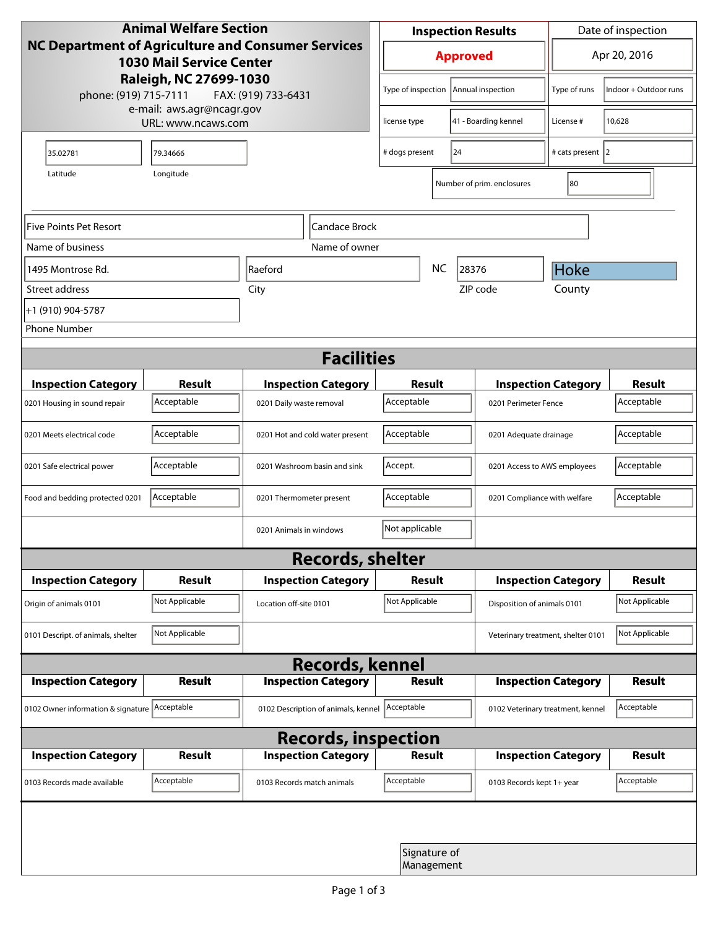| <b>Animal Welfare Section</b><br><b>NC Department of Agriculture and Consumer Services</b><br><b>1030 Mail Service Center</b><br>Raleigh, NC 27699-1030 |                                                 |                                     | <b>Inspection Results</b>                  |                   |                                    | Date of inspection          |                |  |
|---------------------------------------------------------------------------------------------------------------------------------------------------------|-------------------------------------------------|-------------------------------------|--------------------------------------------|-------------------|------------------------------------|-----------------------------|----------------|--|
|                                                                                                                                                         |                                                 |                                     | <b>Approved</b>                            |                   |                                    | Apr 20, 2016                |                |  |
| phone: (919) 715-7111                                                                                                                                   | FAX: (919) 733-6431                             | Type of inspection                  |                                            | Annual inspection | Type of runs                       | Indoor + Outdoor runs       |                |  |
|                                                                                                                                                         | e-mail: aws.agr@ncagr.gov<br>URL: www.ncaws.com |                                     | license type                               |                   | 41 - Boarding kennel               | License #                   | 10,628         |  |
| 35.02781                                                                                                                                                | 79.34666                                        |                                     | 24<br># dogs present                       |                   |                                    | # cats present 2            |                |  |
| Latitude                                                                                                                                                | Longitude                                       |                                     |                                            |                   | Number of prim. enclosures         | 80                          |                |  |
| Five Points Pet Resort<br> Candace Brock                                                                                                                |                                                 |                                     |                                            |                   |                                    |                             |                |  |
| Name of business                                                                                                                                        |                                                 | Name of owner                       |                                            |                   |                                    |                             |                |  |
| 1495 Montrose Rd.                                                                                                                                       |                                                 | <b>Raeford</b>                      |                                            | <b>NC</b>         | 28376                              | Hoke                        |                |  |
| Street address                                                                                                                                          |                                                 | City                                | ZIP code                                   |                   |                                    | County                      |                |  |
| +1 (910) 904-5787                                                                                                                                       |                                                 |                                     |                                            |                   |                                    |                             |                |  |
| <b>Phone Number</b>                                                                                                                                     |                                                 |                                     |                                            |                   |                                    |                             |                |  |
| <b>Facilities</b>                                                                                                                                       |                                                 |                                     |                                            |                   |                                    |                             |                |  |
| <b>Inspection Category</b>                                                                                                                              | <b>Result</b>                                   | <b>Inspection Category</b>          |                                            | Result            |                                    | <b>Inspection Category</b>  | <b>Result</b>  |  |
| 0201 Housing in sound repair                                                                                                                            | Acceptable                                      | 0201 Daily waste removal            | Acceptable<br>0201 Perimeter Fence         |                   |                                    | Acceptable                  |                |  |
| 0201 Meets electrical code                                                                                                                              | Acceptable                                      | 0201 Hot and cold water present     | Acceptable<br>0201 Adequate drainage       |                   |                                    | Acceptable                  |                |  |
| 0201 Safe electrical power                                                                                                                              | Acceptable                                      | 0201 Washroom basin and sink        | Accept.<br>0201 Access to AWS employees    |                   |                                    | Acceptable                  |                |  |
| Food and bedding protected 0201                                                                                                                         | Acceptable                                      | 0201 Thermometer present            | Acceptable<br>0201 Compliance with welfare |                   |                                    | Acceptable                  |                |  |
| Not applicable<br>0201 Animals in windows                                                                                                               |                                                 |                                     |                                            |                   |                                    |                             |                |  |
| <b>Records, shelter</b>                                                                                                                                 |                                                 |                                     |                                            |                   |                                    |                             |                |  |
| <b>Inspection Category</b>                                                                                                                              | Result                                          | <b>Inspection Category</b>          | <b>Result</b>                              |                   |                                    | <b>Inspection Category</b>  | <b>Result</b>  |  |
| Origin of animals 0101                                                                                                                                  | Not Applicable                                  | Location off-site 0101              | Not Applicable                             |                   |                                    | Disposition of animals 0101 |                |  |
| 0101 Descript. of animals, shelter                                                                                                                      | Not Applicable                                  |                                     |                                            |                   | Veterinary treatment, shelter 0101 |                             | Not Applicable |  |
| <b>Records, kennel</b>                                                                                                                                  |                                                 |                                     |                                            |                   |                                    |                             |                |  |
| <b>Inspection Category</b>                                                                                                                              | <b>Result</b>                                   | <b>Inspection Category</b>          |                                            | <b>Result</b>     |                                    | <b>Inspection Category</b>  | <b>Result</b>  |  |
| 0102 Owner information & signature Acceptable                                                                                                           |                                                 | 0102 Description of animals, kennel | Acceptable                                 |                   | 0102 Veterinary treatment, kennel  |                             | Acceptable     |  |
| <b>Records, inspection</b>                                                                                                                              |                                                 |                                     |                                            |                   |                                    |                             |                |  |
| <b>Inspection Category</b>                                                                                                                              | <b>Result</b>                                   | <b>Inspection Category</b>          |                                            | Result            |                                    | <b>Inspection Category</b>  | <b>Result</b>  |  |
| 0103 Records made available                                                                                                                             | Acceptable                                      | 0103 Records match animals          | Acceptable                                 |                   | 0103 Records kept 1+ year          |                             | Acceptable     |  |
|                                                                                                                                                         |                                                 |                                     |                                            |                   |                                    |                             |                |  |
| Signature of<br>Management                                                                                                                              |                                                 |                                     |                                            |                   |                                    |                             |                |  |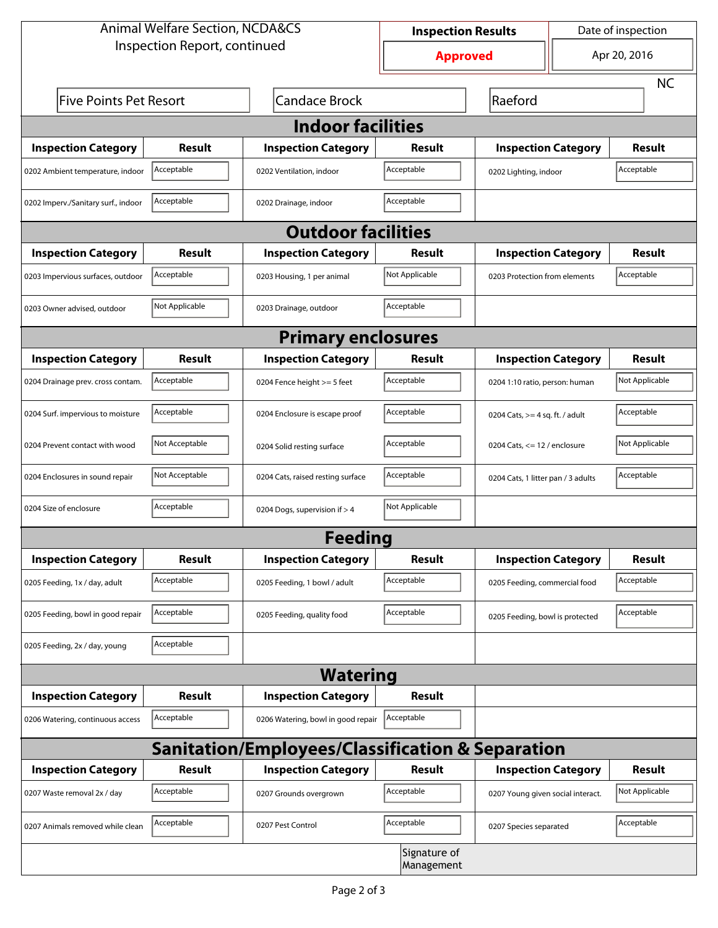| <b>Animal Welfare Section, NCDA&amp;CS</b>                  |                |                                    | Date of inspection<br><b>Inspection Results</b> |                                     |              |                |  |  |
|-------------------------------------------------------------|----------------|------------------------------------|-------------------------------------------------|-------------------------------------|--------------|----------------|--|--|
| Inspection Report, continued                                |                |                                    | <b>Approved</b>                                 |                                     | Apr 20, 2016 |                |  |  |
|                                                             |                |                                    |                                                 |                                     |              | <b>NC</b>      |  |  |
| <b>Five Points Pet Resort</b>                               |                | <b>Candace Brock</b>               |                                                 | Raeford                             |              |                |  |  |
| <b>Indoor facilities</b>                                    |                |                                    |                                                 |                                     |              |                |  |  |
| <b>Inspection Category</b>                                  | Result         | <b>Inspection Category</b>         | Result                                          | <b>Inspection Category</b>          |              | Result         |  |  |
| 0202 Ambient temperature, indoor                            | Acceptable     | 0202 Ventilation, indoor           | Acceptable                                      | Acceptable<br>0202 Lighting, indoor |              |                |  |  |
| 0202 Imperv./Sanitary surf., indoor                         | Acceptable     | 0202 Drainage, indoor              | Acceptable                                      |                                     |              |                |  |  |
| <b>Outdoor facilities</b>                                   |                |                                    |                                                 |                                     |              |                |  |  |
| <b>Inspection Category</b>                                  | Result         | <b>Inspection Category</b>         | Result                                          | <b>Inspection Category</b>          | Result       |                |  |  |
| 0203 Impervious surfaces, outdoor                           | Acceptable     | 0203 Housing, 1 per animal         | Not Applicable                                  | 0203 Protection from elements       |              | Acceptable     |  |  |
| 0203 Owner advised, outdoor                                 | Not Applicable | 0203 Drainage, outdoor             | Acceptable                                      |                                     |              |                |  |  |
| <b>Primary enclosures</b>                                   |                |                                    |                                                 |                                     |              |                |  |  |
| <b>Inspection Category</b>                                  | Result         | <b>Inspection Category</b>         | Result                                          | <b>Inspection Category</b>          |              | <b>Result</b>  |  |  |
| 0204 Drainage prev. cross contam.                           | Acceptable     | 0204 Fence height >= 5 feet        | Acceptable                                      | 0204 1:10 ratio, person: human      |              | Not Applicable |  |  |
| 0204 Surf. impervious to moisture                           | Acceptable     | 0204 Enclosure is escape proof     | Acceptable                                      | 0204 Cats, $>=$ 4 sq. ft. / adult   |              | Acceptable     |  |  |
| 0204 Prevent contact with wood                              | Not Acceptable | 0204 Solid resting surface         | Acceptable                                      | 0204 Cats, $<= 12$ / enclosure      |              | Not Applicable |  |  |
| 0204 Enclosures in sound repair                             | Not Acceptable | 0204 Cats, raised resting surface  | Acceptable                                      | 0204 Cats, 1 litter pan / 3 adults  |              | Acceptable     |  |  |
| 0204 Size of enclosure                                      | Acceptable     | 0204 Dogs, supervision if > 4      | Not Applicable                                  |                                     |              |                |  |  |
| <b>Feeding</b>                                              |                |                                    |                                                 |                                     |              |                |  |  |
| <b>Inspection Category</b>                                  | <b>Result</b>  | <b>Inspection Category</b>         | Result                                          | <b>Inspection Category</b>          |              | <b>Result</b>  |  |  |
| 0205 Feeding, 1x / day, adult                               | Acceptable     | 0205 Feeding, 1 bowl / adult       | Acceptable                                      | 0205 Feeding, commercial food       |              | Acceptable     |  |  |
| 0205 Feeding, bowl in good repair                           | Acceptable     | 0205 Feeding, quality food         | Acceptable                                      | 0205 Feeding, bowl is protected     |              | Acceptable     |  |  |
| 0205 Feeding, 2x / day, young                               | Acceptable     |                                    |                                                 |                                     |              |                |  |  |
| <b>Watering</b>                                             |                |                                    |                                                 |                                     |              |                |  |  |
| <b>Inspection Category</b>                                  | <b>Result</b>  | <b>Inspection Category</b>         | Result                                          |                                     |              |                |  |  |
| 0206 Watering, continuous access                            | Acceptable     | 0206 Watering, bowl in good repair | Acceptable                                      |                                     |              |                |  |  |
| <b>Sanitation/Employees/Classification &amp; Separation</b> |                |                                    |                                                 |                                     |              |                |  |  |
| <b>Inspection Category</b>                                  | <b>Result</b>  | <b>Inspection Category</b>         | Result                                          | <b>Inspection Category</b>          |              | <b>Result</b>  |  |  |
| 0207 Waste removal 2x / day                                 | Acceptable     | 0207 Grounds overgrown             | Acceptable                                      | 0207 Young given social interact.   |              | Not Applicable |  |  |
| 0207 Animals removed while clean                            | Acceptable     | 0207 Pest Control                  | Acceptable                                      | 0207 Species separated              |              | Acceptable     |  |  |
|                                                             |                |                                    | Signature of<br>Management                      |                                     |              |                |  |  |